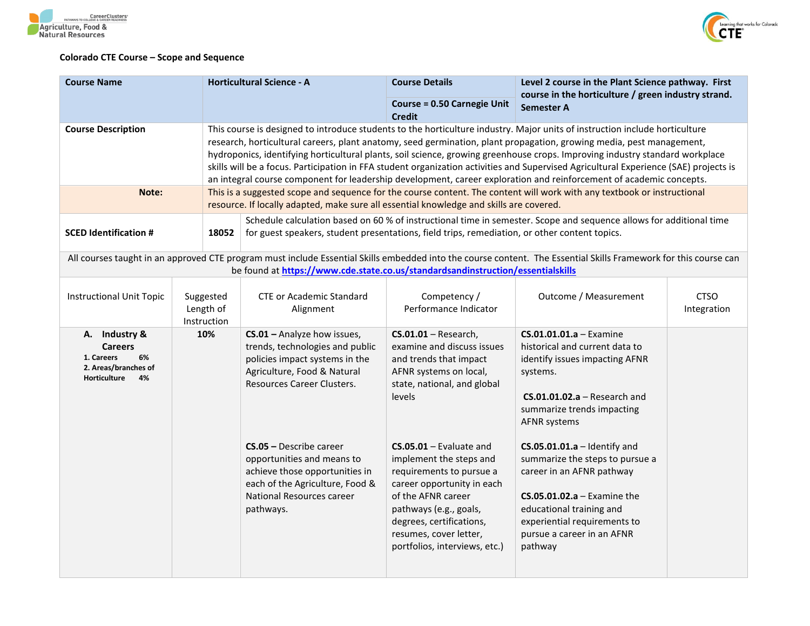



## **Colorado CTE Course – Scope and Sequence**

| <b>Course Name</b>                                                                                | <b>Horticultural Science - A</b>      |                                                                                                                                                                                                                                                                                                                                                                                                                                                                                                                                                                                                                                                     | <b>Course Details</b>                                                                                                                                                                                                                                                                                                                                                      | Level 2 course in the Plant Science pathway. First<br>course in the horticulture / green industry strand.                                                                                                                                                                                                                                                                                                                     |                            |  |  |
|---------------------------------------------------------------------------------------------------|---------------------------------------|-----------------------------------------------------------------------------------------------------------------------------------------------------------------------------------------------------------------------------------------------------------------------------------------------------------------------------------------------------------------------------------------------------------------------------------------------------------------------------------------------------------------------------------------------------------------------------------------------------------------------------------------------------|----------------------------------------------------------------------------------------------------------------------------------------------------------------------------------------------------------------------------------------------------------------------------------------------------------------------------------------------------------------------------|-------------------------------------------------------------------------------------------------------------------------------------------------------------------------------------------------------------------------------------------------------------------------------------------------------------------------------------------------------------------------------------------------------------------------------|----------------------------|--|--|
|                                                                                                   |                                       |                                                                                                                                                                                                                                                                                                                                                                                                                                                                                                                                                                                                                                                     | <b>Course = 0.50 Carnegie Unit</b><br><b>Credit</b>                                                                                                                                                                                                                                                                                                                        | <b>Semester A</b>                                                                                                                                                                                                                                                                                                                                                                                                             |                            |  |  |
| <b>Course Description</b>                                                                         |                                       | This course is designed to introduce students to the horticulture industry. Major units of instruction include horticulture<br>research, horticultural careers, plant anatomy, seed germination, plant propagation, growing media, pest management,<br>hydroponics, identifying horticultural plants, soil science, growing greenhouse crops. Improving industry standard workplace<br>skills will be a focus. Participation in FFA student organization activities and Supervised Agricultural Experience (SAE) projects is<br>an integral course component for leadership development, career exploration and reinforcement of academic concepts. |                                                                                                                                                                                                                                                                                                                                                                            |                                                                                                                                                                                                                                                                                                                                                                                                                               |                            |  |  |
| Note:                                                                                             |                                       | This is a suggested scope and sequence for the course content. The content will work with any textbook or instructional<br>resource. If locally adapted, make sure all essential knowledge and skills are covered.                                                                                                                                                                                                                                                                                                                                                                                                                                  |                                                                                                                                                                                                                                                                                                                                                                            |                                                                                                                                                                                                                                                                                                                                                                                                                               |                            |  |  |
| <b>SCED Identification #</b>                                                                      |                                       | Schedule calculation based on 60 % of instructional time in semester. Scope and sequence allows for additional time<br>18052<br>for guest speakers, student presentations, field trips, remediation, or other content topics.                                                                                                                                                                                                                                                                                                                                                                                                                       |                                                                                                                                                                                                                                                                                                                                                                            |                                                                                                                                                                                                                                                                                                                                                                                                                               |                            |  |  |
|                                                                                                   |                                       | be found at https://www.cde.state.co.us/standardsandinstruction/essentialskills                                                                                                                                                                                                                                                                                                                                                                                                                                                                                                                                                                     |                                                                                                                                                                                                                                                                                                                                                                            | All courses taught in an approved CTE program must include Essential Skills embedded into the course content. The Essential Skills Framework for this course can                                                                                                                                                                                                                                                              |                            |  |  |
| <b>Instructional Unit Topic</b>                                                                   | Suggested<br>Length of<br>Instruction | <b>CTE or Academic Standard</b><br>Alignment                                                                                                                                                                                                                                                                                                                                                                                                                                                                                                                                                                                                        | Competency /<br>Performance Indicator                                                                                                                                                                                                                                                                                                                                      | Outcome / Measurement                                                                                                                                                                                                                                                                                                                                                                                                         | <b>CTSO</b><br>Integration |  |  |
| A. Industry &<br><b>Careers</b><br>6%<br>1. Careers<br>2. Areas/branches of<br>Horticulture<br>4% | 10%                                   | CS.01 - Analyze how issues,<br>trends, technologies and public<br>policies impact systems in the<br>Agriculture, Food & Natural<br>Resources Career Clusters.<br>$CS.05 - Describe career$<br>opportunities and means to<br>achieve those opportunities in<br>each of the Agriculture, Food &<br>National Resources career<br>pathways.                                                                                                                                                                                                                                                                                                             | $CS.01.01 - Research$ ,<br>examine and discuss issues<br>and trends that impact<br>AFNR systems on local,<br>state, national, and global<br>levels<br>$CS.05.01 - Evaluate$ and<br>implement the steps and<br>requirements to pursue a<br>career opportunity in each<br>of the AFNR career<br>pathways (e.g., goals,<br>degrees, certifications,<br>resumes, cover letter, | $CS.01.01.01.a - Examine$<br>historical and current data to<br>identify issues impacting AFNR<br>systems.<br>$CS.01.01.02.a - Research$ and<br>summarize trends impacting<br><b>AFNR systems</b><br>$CS.05.01.01.a -$ Identify and<br>summarize the steps to pursue a<br>career in an AFNR pathway<br>$CS.05.01.02.a - Examine the$<br>educational training and<br>experiential requirements to<br>pursue a career in an AFNR |                            |  |  |
|                                                                                                   |                                       |                                                                                                                                                                                                                                                                                                                                                                                                                                                                                                                                                                                                                                                     | portfolios, interviews, etc.)                                                                                                                                                                                                                                                                                                                                              | pathway                                                                                                                                                                                                                                                                                                                                                                                                                       |                            |  |  |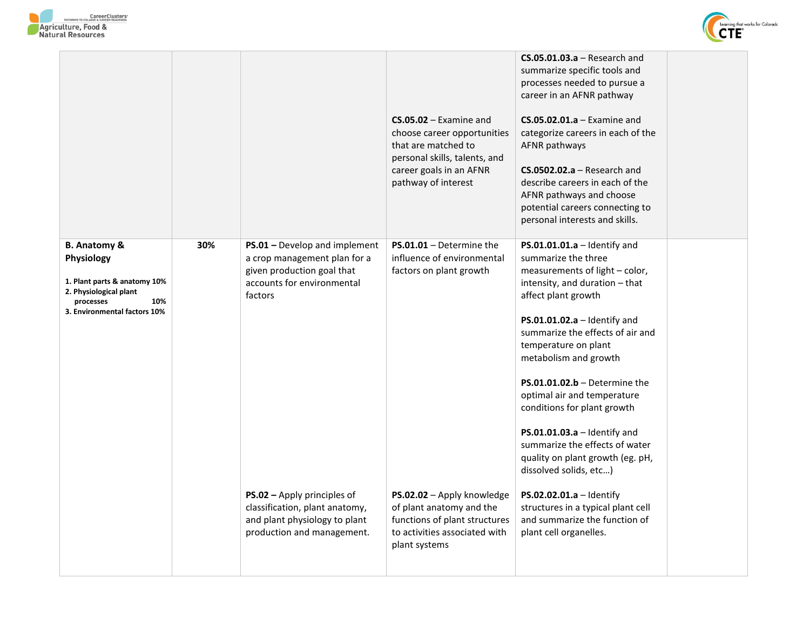



|                                                                                                                                                     |     |                                                                                                                                      | $CS.05.02 - Examine$ and<br>choose career opportunities<br>that are matched to<br>personal skills, talents, and<br>career goals in an AFNR<br>pathway of interest | $CS.05.01.03.a - Research$ and<br>summarize specific tools and<br>processes needed to pursue a<br>career in an AFNR pathway<br>$CS.05.02.01.a - Examine and$<br>categorize careers in each of the<br>AFNR pathways<br>$CS.0502.02.a - Research and$<br>describe careers in each of the<br>AFNR pathways and choose<br>potential careers connecting to<br>personal interests and skills.                                                                                                                    |  |
|-----------------------------------------------------------------------------------------------------------------------------------------------------|-----|--------------------------------------------------------------------------------------------------------------------------------------|-------------------------------------------------------------------------------------------------------------------------------------------------------------------|------------------------------------------------------------------------------------------------------------------------------------------------------------------------------------------------------------------------------------------------------------------------------------------------------------------------------------------------------------------------------------------------------------------------------------------------------------------------------------------------------------|--|
| <b>B. Anatomy &amp;</b><br>Physiology<br>1. Plant parts & anatomy 10%<br>2. Physiological plant<br>processes<br>10%<br>3. Environmental factors 10% | 30% | PS.01 - Develop and implement<br>a crop management plan for a<br>given production goal that<br>accounts for environmental<br>factors | $PS.01.01 - Determine the$<br>influence of environmental<br>factors on plant growth                                                                               | $PS.01.01.01.a -$ Identify and<br>summarize the three<br>measurements of light - color,<br>intensity, and duration - that<br>affect plant growth<br>$PS.01.01.02.a -$ Identify and<br>summarize the effects of air and<br>temperature on plant<br>metabolism and growth<br>$PS.01.01.02.b - Determine the$<br>optimal air and temperature<br>conditions for plant growth<br>$PS.01.01.03.a -$ Identify and<br>summarize the effects of water<br>quality on plant growth (eg. pH,<br>dissolved solids, etc) |  |
|                                                                                                                                                     |     | PS.02 - Apply principles of<br>classification, plant anatomy,<br>and plant physiology to plant<br>production and management.         | PS.02.02 - Apply knowledge<br>of plant anatomy and the<br>functions of plant structures<br>to activities associated with<br>plant systems                         | $PS.02.02.01.a - Identity$<br>structures in a typical plant cell<br>and summarize the function of<br>plant cell organelles.                                                                                                                                                                                                                                                                                                                                                                                |  |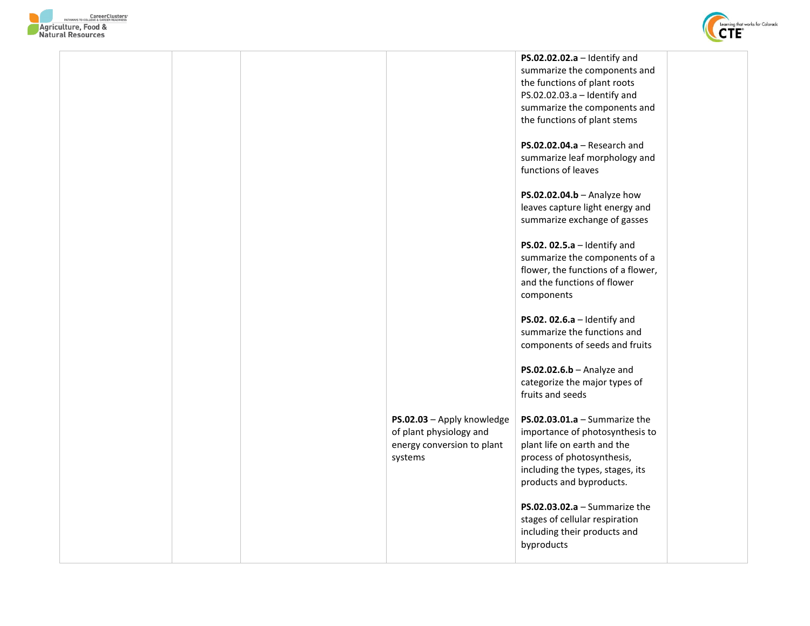



|  |                            | PS.02.02.02.a $-$ Identify and     |  |
|--|----------------------------|------------------------------------|--|
|  |                            | summarize the components and       |  |
|  |                            | the functions of plant roots       |  |
|  |                            | PS.02.02.03.a - Identify and       |  |
|  |                            | summarize the components and       |  |
|  |                            | the functions of plant stems       |  |
|  |                            |                                    |  |
|  |                            | $PS.02.02.04.a - Research$ and     |  |
|  |                            | summarize leaf morphology and      |  |
|  |                            |                                    |  |
|  |                            | functions of leaves                |  |
|  |                            |                                    |  |
|  |                            | PS.02.02.04.b - Analyze how        |  |
|  |                            | leaves capture light energy and    |  |
|  |                            | summarize exchange of gasses       |  |
|  |                            |                                    |  |
|  |                            | PS.02. $02.5.a -$ Identify and     |  |
|  |                            | summarize the components of a      |  |
|  |                            | flower, the functions of a flower, |  |
|  |                            | and the functions of flower        |  |
|  |                            | components                         |  |
|  |                            |                                    |  |
|  |                            | PS.02. $02.6.a -$ Identify and     |  |
|  |                            | summarize the functions and        |  |
|  |                            | components of seeds and fruits     |  |
|  |                            |                                    |  |
|  |                            | $PS.02.02.6.b - Analyze$ and       |  |
|  |                            | categorize the major types of      |  |
|  |                            | fruits and seeds                   |  |
|  |                            |                                    |  |
|  | PS.02.03 - Apply knowledge | PS.02.03.01.a $-$ Summarize the    |  |
|  | of plant physiology and    | importance of photosynthesis to    |  |
|  |                            |                                    |  |
|  | energy conversion to plant | plant life on earth and the        |  |
|  | systems                    | process of photosynthesis,         |  |
|  |                            | including the types, stages, its   |  |
|  |                            | products and byproducts.           |  |
|  |                            |                                    |  |
|  |                            | PS.02.03.02.a $-$ Summarize the    |  |
|  |                            | stages of cellular respiration     |  |
|  |                            | including their products and       |  |
|  |                            | byproducts                         |  |
|  |                            |                                    |  |
|  |                            |                                    |  |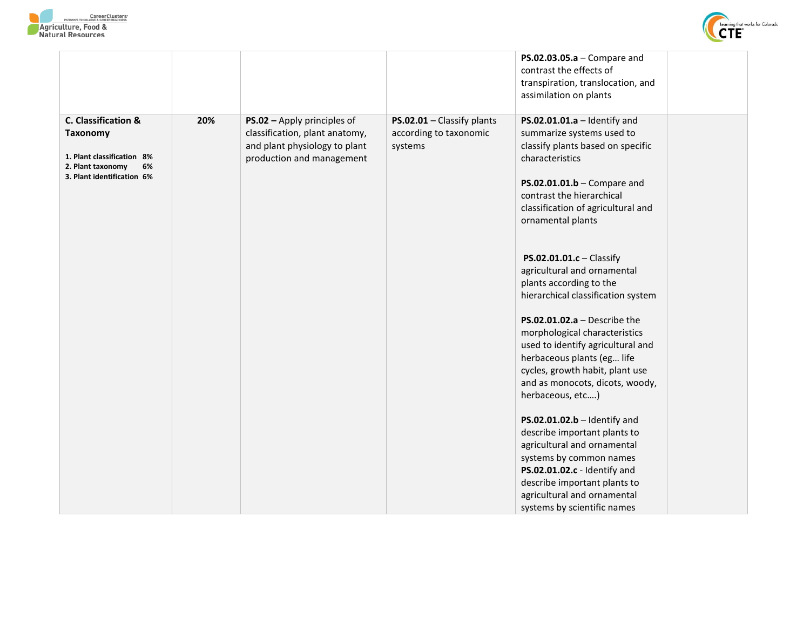



|                                                                                                                               |     |                                                                                                                             |                                                                 | $PS.02.03.05.a - Compare and$<br>contrast the effects of<br>transpiration, translocation, and<br>assimilation on plants                                                                                                                                                                                                                                                                                                                                                                                                                                                                                            |  |
|-------------------------------------------------------------------------------------------------------------------------------|-----|-----------------------------------------------------------------------------------------------------------------------------|-----------------------------------------------------------------|--------------------------------------------------------------------------------------------------------------------------------------------------------------------------------------------------------------------------------------------------------------------------------------------------------------------------------------------------------------------------------------------------------------------------------------------------------------------------------------------------------------------------------------------------------------------------------------------------------------------|--|
| C. Classification &<br><b>Taxonomy</b><br>1. Plant classification 8%<br>6%<br>2. Plant taxonomy<br>3. Plant identification 6% | 20% | PS.02 - Apply principles of<br>classification, plant anatomy,<br>and plant physiology to plant<br>production and management | PS.02.01 - Classify plants<br>according to taxonomic<br>systems | $PS.02.01.01.a -$ Identify and<br>summarize systems used to<br>classify plants based on specific<br>characteristics<br>$PS.02.01.01.b - Compare and$<br>contrast the hierarchical<br>classification of agricultural and<br>ornamental plants                                                                                                                                                                                                                                                                                                                                                                       |  |
|                                                                                                                               |     |                                                                                                                             |                                                                 | PS.02.01.01.c - Classify<br>agricultural and ornamental<br>plants according to the<br>hierarchical classification system<br>$PS.02.01.02.a - Describe the$<br>morphological characteristics<br>used to identify agricultural and<br>herbaceous plants (eg life<br>cycles, growth habit, plant use<br>and as monocots, dicots, woody,<br>herbaceous, etc)<br>$PS.02.01.02.b -$ Identify and<br>describe important plants to<br>agricultural and ornamental<br>systems by common names<br>PS.02.01.02.c - Identify and<br>describe important plants to<br>agricultural and ornamental<br>systems by scientific names |  |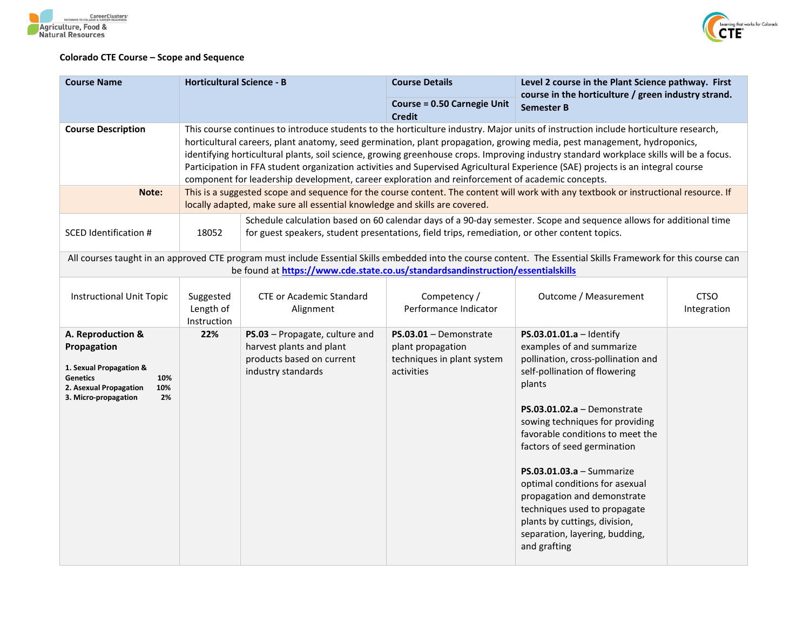



## **Colorado CTE Course – Scope and Sequence**

| <b>Course Name</b>                                                                                                                                   | <b>Horticultural Science - B</b>                                                                                                                                                                                                                                                                                                                                                                                                                                                                                                                                                                                                                  |                                                                                                                                                                                                                    | <b>Course Details</b><br><b>Course = 0.50 Carnegie Unit</b>                               | Level 2 course in the Plant Science pathway. First<br>course in the horticulture / green industry strand.                                                                                                                                                                                                                                                                                                                                                                                        |                            |
|------------------------------------------------------------------------------------------------------------------------------------------------------|---------------------------------------------------------------------------------------------------------------------------------------------------------------------------------------------------------------------------------------------------------------------------------------------------------------------------------------------------------------------------------------------------------------------------------------------------------------------------------------------------------------------------------------------------------------------------------------------------------------------------------------------------|--------------------------------------------------------------------------------------------------------------------------------------------------------------------------------------------------------------------|-------------------------------------------------------------------------------------------|--------------------------------------------------------------------------------------------------------------------------------------------------------------------------------------------------------------------------------------------------------------------------------------------------------------------------------------------------------------------------------------------------------------------------------------------------------------------------------------------------|----------------------------|
|                                                                                                                                                      |                                                                                                                                                                                                                                                                                                                                                                                                                                                                                                                                                                                                                                                   |                                                                                                                                                                                                                    | <b>Credit</b>                                                                             | <b>Semester B</b>                                                                                                                                                                                                                                                                                                                                                                                                                                                                                |                            |
| <b>Course Description</b>                                                                                                                            | This course continues to introduce students to the horticulture industry. Major units of instruction include horticulture research,<br>horticultural careers, plant anatomy, seed germination, plant propagation, growing media, pest management, hydroponics,<br>identifying horticultural plants, soil science, growing greenhouse crops. Improving industry standard workplace skills will be a focus.<br>Participation in FFA student organization activities and Supervised Agricultural Experience (SAE) projects is an integral course<br>component for leadership development, career exploration and reinforcement of academic concepts. |                                                                                                                                                                                                                    |                                                                                           |                                                                                                                                                                                                                                                                                                                                                                                                                                                                                                  |                            |
| Note:                                                                                                                                                |                                                                                                                                                                                                                                                                                                                                                                                                                                                                                                                                                                                                                                                   | This is a suggested scope and sequence for the course content. The content will work with any textbook or instructional resource. If<br>locally adapted, make sure all essential knowledge and skills are covered. |                                                                                           |                                                                                                                                                                                                                                                                                                                                                                                                                                                                                                  |                            |
| <b>SCED Identification #</b>                                                                                                                         | 18052                                                                                                                                                                                                                                                                                                                                                                                                                                                                                                                                                                                                                                             | for guest speakers, student presentations, field trips, remediation, or other content topics.                                                                                                                      |                                                                                           | Schedule calculation based on 60 calendar days of a 90-day semester. Scope and sequence allows for additional time                                                                                                                                                                                                                                                                                                                                                                               |                            |
|                                                                                                                                                      |                                                                                                                                                                                                                                                                                                                                                                                                                                                                                                                                                                                                                                                   | be found at https://www.cde.state.co.us/standardsandinstruction/essentialskills                                                                                                                                    |                                                                                           | All courses taught in an approved CTE program must include Essential Skills embedded into the course content. The Essential Skills Framework for this course can                                                                                                                                                                                                                                                                                                                                 |                            |
| <b>Instructional Unit Topic</b>                                                                                                                      | Suggested<br>Length of<br>Instruction                                                                                                                                                                                                                                                                                                                                                                                                                                                                                                                                                                                                             | <b>CTE or Academic Standard</b><br>Alignment                                                                                                                                                                       | Competency /<br>Performance Indicator                                                     | Outcome / Measurement                                                                                                                                                                                                                                                                                                                                                                                                                                                                            | <b>CTSO</b><br>Integration |
| A. Reproduction &<br>Propagation<br>1. Sexual Propagation &<br><b>Genetics</b><br>10%<br>2. Asexual Propagation<br>10%<br>3. Micro-propagation<br>2% | 22%                                                                                                                                                                                                                                                                                                                                                                                                                                                                                                                                                                                                                                               | PS.03 - Propagate, culture and<br>harvest plants and plant<br>products based on current<br>industry standards                                                                                                      | $PS.03.01 - Demonstrate$<br>plant propagation<br>techniques in plant system<br>activities | PS.03.01.01.a - Identify<br>examples of and summarize<br>pollination, cross-pollination and<br>self-pollination of flowering<br>plants<br>$PS.03.01.02.a - Demonstrate$<br>sowing techniques for providing<br>favorable conditions to meet the<br>factors of seed germination<br>$PS.03.01.03.a - Summarize$<br>optimal conditions for asexual<br>propagation and demonstrate<br>techniques used to propagate<br>plants by cuttings, division,<br>separation, layering, budding,<br>and grafting |                            |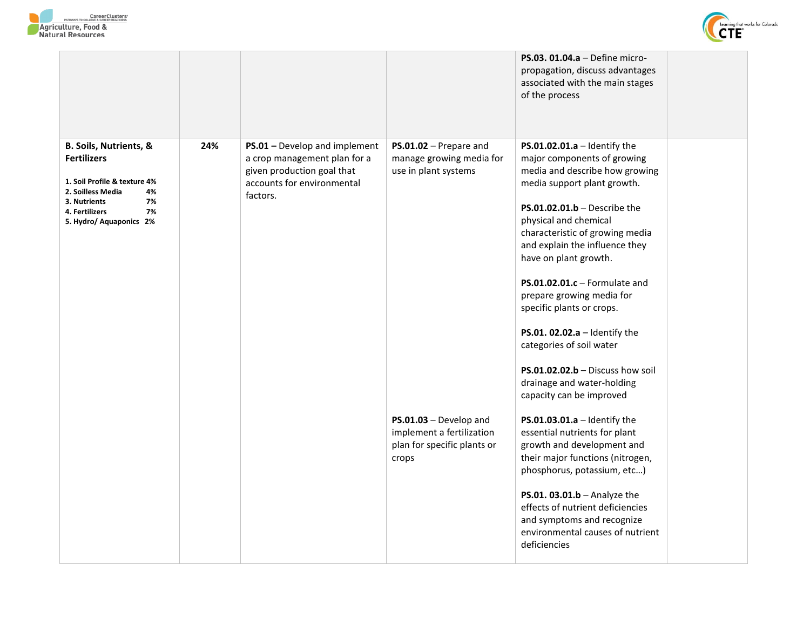



|                                                                                                                                                                                             |                                                                                                                                       |                                                                                             | PS.03. 01.04.a - Define micro-<br>propagation, discuss advantages<br>associated with the main stages<br>of the process                                                                                                                                                                                                                                                                                                                                                                                                                              |  |
|---------------------------------------------------------------------------------------------------------------------------------------------------------------------------------------------|---------------------------------------------------------------------------------------------------------------------------------------|---------------------------------------------------------------------------------------------|-----------------------------------------------------------------------------------------------------------------------------------------------------------------------------------------------------------------------------------------------------------------------------------------------------------------------------------------------------------------------------------------------------------------------------------------------------------------------------------------------------------------------------------------------------|--|
| <b>B. Soils, Nutrients, &amp;</b><br><b>Fertilizers</b><br>1. Soil Profile & texture 4%<br>2. Soilless Media<br>4%<br>7%<br>3. Nutrients<br>7%<br>4. Fertilizers<br>5. Hydro/ Aquaponics 2% | PS.01 - Develop and implement<br>a crop management plan for a<br>given production goal that<br>accounts for environmental<br>factors. | PS.01.02 - Prepare and<br>manage growing media for<br>use in plant systems                  | PS.01.02.01.a $-$ Identify the<br>major components of growing<br>media and describe how growing<br>media support plant growth.<br>$PS.01.02.01.b - Describe the$<br>physical and chemical<br>characteristic of growing media<br>and explain the influence they<br>have on plant growth.<br>$PS.01.02.01.c - Formulate$ and<br>prepare growing media for<br>specific plants or crops.<br>PS.01. 02.02.a $-$ Identify the<br>categories of soil water<br>$PS.01.02.02.b - Discuss how soil$<br>drainage and water-holding<br>capacity can be improved |  |
|                                                                                                                                                                                             |                                                                                                                                       | PS.01.03 - Develop and<br>implement a fertilization<br>plan for specific plants or<br>crops | $PS.01.03.01.a -$ Identify the<br>essential nutrients for plant<br>growth and development and<br>their major functions (nitrogen,<br>phosphorus, potassium, etc)<br>PS.01. $03.01.b$ - Analyze the<br>effects of nutrient deficiencies<br>and symptoms and recognize<br>environmental causes of nutrient<br>deficiencies                                                                                                                                                                                                                            |  |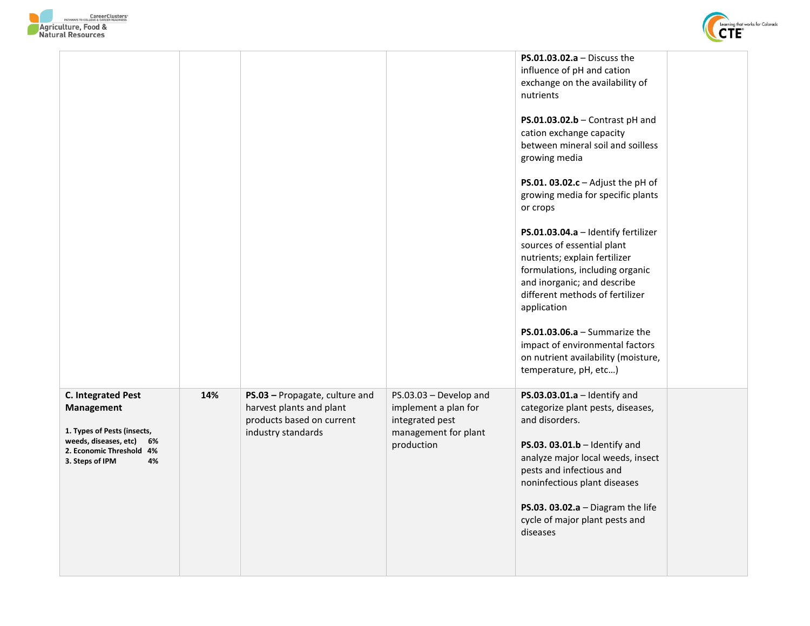



|                                                                                                                                                         |     |                                                                                                               |                                                                                                         | <b>PS.01.03.02.a</b> – Discuss the<br>influence of pH and cation<br>exchange on the availability of<br>nutrients<br>$PS.01.03.02.b$ - Contrast pH and<br>cation exchange capacity<br>between mineral soil and soilless<br>growing media<br>PS.01. $03.02.c -$ Adjust the pH of<br>growing media for specific plants<br>or crops<br>PS.01.03.04.a - Identify fertilizer<br>sources of essential plant<br>nutrients; explain fertilizer<br>formulations, including organic<br>and inorganic; and describe<br>different methods of fertilizer<br>application<br>PS.01.03.06.a $-$ Summarize the<br>impact of environmental factors<br>on nutrient availability (moisture,<br>temperature, pH, etc) |  |
|---------------------------------------------------------------------------------------------------------------------------------------------------------|-----|---------------------------------------------------------------------------------------------------------------|---------------------------------------------------------------------------------------------------------|-------------------------------------------------------------------------------------------------------------------------------------------------------------------------------------------------------------------------------------------------------------------------------------------------------------------------------------------------------------------------------------------------------------------------------------------------------------------------------------------------------------------------------------------------------------------------------------------------------------------------------------------------------------------------------------------------|--|
| <b>C. Integrated Pest</b><br>Management<br>1. Types of Pests (insects,<br>weeds, diseases, etc) 6%<br>2. Economic Threshold 4%<br>3. Steps of IPM<br>4% | 14% | PS.03 - Propagate, culture and<br>harvest plants and plant<br>products based on current<br>industry standards | PS.03.03 - Develop and<br>implement a plan for<br>integrated pest<br>management for plant<br>production | $PS.03.03.01.a - Identity and$<br>categorize plant pests, diseases,<br>and disorders.<br>PS.03. 03.01.b - Identify and<br>analyze major local weeds, insect<br>pests and infectious and<br>noninfectious plant diseases<br>PS.03. 03.02.a $-$ Diagram the life<br>cycle of major plant pests and<br>diseases                                                                                                                                                                                                                                                                                                                                                                                    |  |